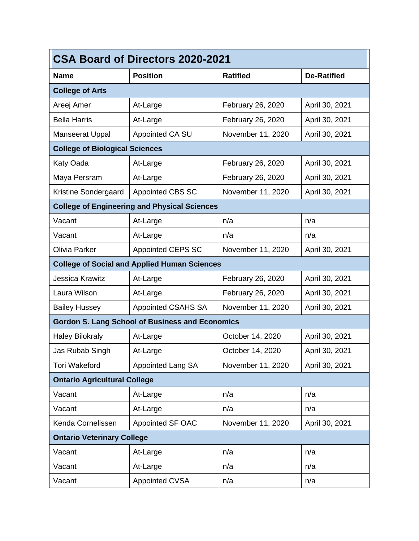| <b>CSA Board of Directors 2020-2021</b> |                                                        |                   |                    |  |
|-----------------------------------------|--------------------------------------------------------|-------------------|--------------------|--|
| <b>Name</b>                             | <b>Position</b>                                        | <b>Ratified</b>   | <b>De-Ratified</b> |  |
| <b>College of Arts</b>                  |                                                        |                   |                    |  |
| Areej Amer                              | At-Large                                               | February 26, 2020 | April 30, 2021     |  |
| <b>Bella Harris</b>                     | At-Large                                               | February 26, 2020 | April 30, 2021     |  |
| <b>Manseerat Uppal</b>                  | Appointed CA SU                                        | November 11, 2020 | April 30, 2021     |  |
| <b>College of Biological Sciences</b>   |                                                        |                   |                    |  |
| Katy Oada                               | At-Large                                               | February 26, 2020 | April 30, 2021     |  |
| Maya Persram                            | At-Large                                               | February 26, 2020 | April 30, 2021     |  |
| Kristine Sondergaard                    | <b>Appointed CBS SC</b>                                | November 11, 2020 | April 30, 2021     |  |
|                                         | <b>College of Engineering and Physical Sciences</b>    |                   |                    |  |
| Vacant                                  | At-Large                                               | n/a               | n/a                |  |
| Vacant                                  | At-Large                                               | n/a               | n/a                |  |
| <b>Olivia Parker</b>                    | Appointed CEPS SC                                      | November 11, 2020 | April 30, 2021     |  |
|                                         | <b>College of Social and Applied Human Sciences</b>    |                   |                    |  |
| Jessica Krawitz                         | At-Large                                               | February 26, 2020 | April 30, 2021     |  |
| Laura Wilson                            | At-Large                                               | February 26, 2020 | April 30, 2021     |  |
| <b>Bailey Hussey</b>                    | Appointed CSAHS SA                                     | November 11, 2020 | April 30, 2021     |  |
|                                         | <b>Gordon S. Lang School of Business and Economics</b> |                   |                    |  |
| <b>Haley Bilokraly</b>                  | At-Large                                               | October 14, 2020  | April 30, 2021     |  |
| Jas Rubab Singh                         | At-Large                                               | October 14, 2020  | April 30, 2021     |  |
| <b>Tori Wakeford</b>                    | Appointed Lang SA                                      | November 11, 2020 | April 30, 2021     |  |
| <b>Ontario Agricultural College</b>     |                                                        |                   |                    |  |
| Vacant                                  | At-Large                                               | n/a               | n/a                |  |
| Vacant                                  | At-Large                                               | n/a               | n/a                |  |
| Kenda Cornelissen                       | Appointed SF OAC                                       | November 11, 2020 | April 30, 2021     |  |
| <b>Ontario Veterinary College</b>       |                                                        |                   |                    |  |
| Vacant                                  | At-Large                                               | n/a               | n/a                |  |
| Vacant                                  | At-Large                                               | n/a               | n/a                |  |
| Vacant                                  | <b>Appointed CVSA</b>                                  | n/a               | n/a                |  |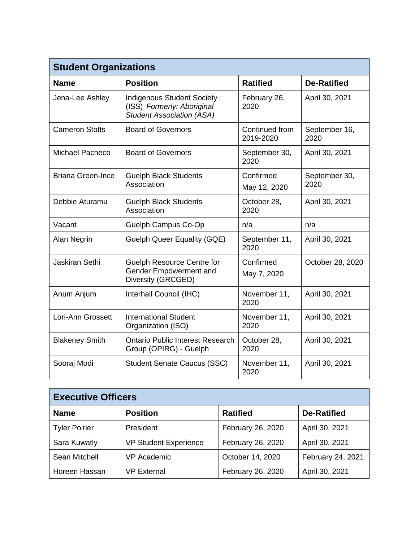| <b>Student Organizations</b> |                                                                                                     |                             |                       |  |  |
|------------------------------|-----------------------------------------------------------------------------------------------------|-----------------------------|-----------------------|--|--|
| <b>Name</b>                  | <b>Position</b>                                                                                     | <b>Ratified</b>             | <b>De-Ratified</b>    |  |  |
| Jena-Lee Ashley              | <b>Indigenous Student Society</b><br>(ISS) Formerly: Aboriginal<br><b>Student Association (ASA)</b> | February 26,<br>2020        | April 30, 2021        |  |  |
| <b>Cameron Stotts</b>        | <b>Board of Governors</b>                                                                           | Continued from<br>2019-2020 | September 16,<br>2020 |  |  |
| <b>Michael Pacheco</b>       | <b>Board of Governors</b>                                                                           | September 30,<br>2020       | April 30, 2021        |  |  |
| <b>Briana Green-Ince</b>     | <b>Guelph Black Students</b><br>Association                                                         | Confirmed<br>May 12, 2020   | September 30,<br>2020 |  |  |
| Debbie Aturamu               | <b>Guelph Black Students</b><br>Association                                                         | October 28,<br>2020         | April 30, 2021        |  |  |
| Vacant                       | Guelph Campus Co-Op                                                                                 | n/a                         | n/a                   |  |  |
| Alan Negrin                  | <b>Guelph Queer Equality (GQE)</b>                                                                  | September 11,<br>2020       | April 30, 2021        |  |  |
| Jaskiran Sethi               | <b>Guelph Resource Centre for</b><br>Gender Empowerment and<br>Diversity (GRCGED)                   | Confirmed<br>May 7, 2020    | October 28, 2020      |  |  |
| Anum Anjum                   | Interhall Council (IHC)                                                                             | November 11,<br>2020        | April 30, 2021        |  |  |
| Lori-Ann Grossett            | <b>International Student</b><br>Organization (ISO)                                                  | November 11,<br>2020        | April 30, 2021        |  |  |
| <b>Blakeney Smith</b>        | <b>Ontario Public Interest Research</b><br>Group (OPIRG) - Guelph                                   | October 28,<br>2020         | April 30, 2021        |  |  |
| Sooraj Modi                  | <b>Student Senate Caucus (SSC)</b>                                                                  | November 11,<br>2020        | April 30, 2021        |  |  |

| <b>Executive Officers</b> |                              |                   |                    |  |
|---------------------------|------------------------------|-------------------|--------------------|--|
| <b>Name</b>               | <b>Position</b>              | <b>Ratified</b>   | <b>De-Ratified</b> |  |
| <b>Tyler Poirier</b>      | President                    | February 26, 2020 | April 30, 2021     |  |
| Sara Kuwatly              | <b>VP Student Experience</b> | February 26, 2020 | April 30, 2021     |  |
| Sean Mitchell             | <b>VP Academic</b>           | October 14, 2020  | February 24, 2021  |  |
| Horeen Hassan             | <b>VP External</b>           | February 26, 2020 | April 30, 2021     |  |